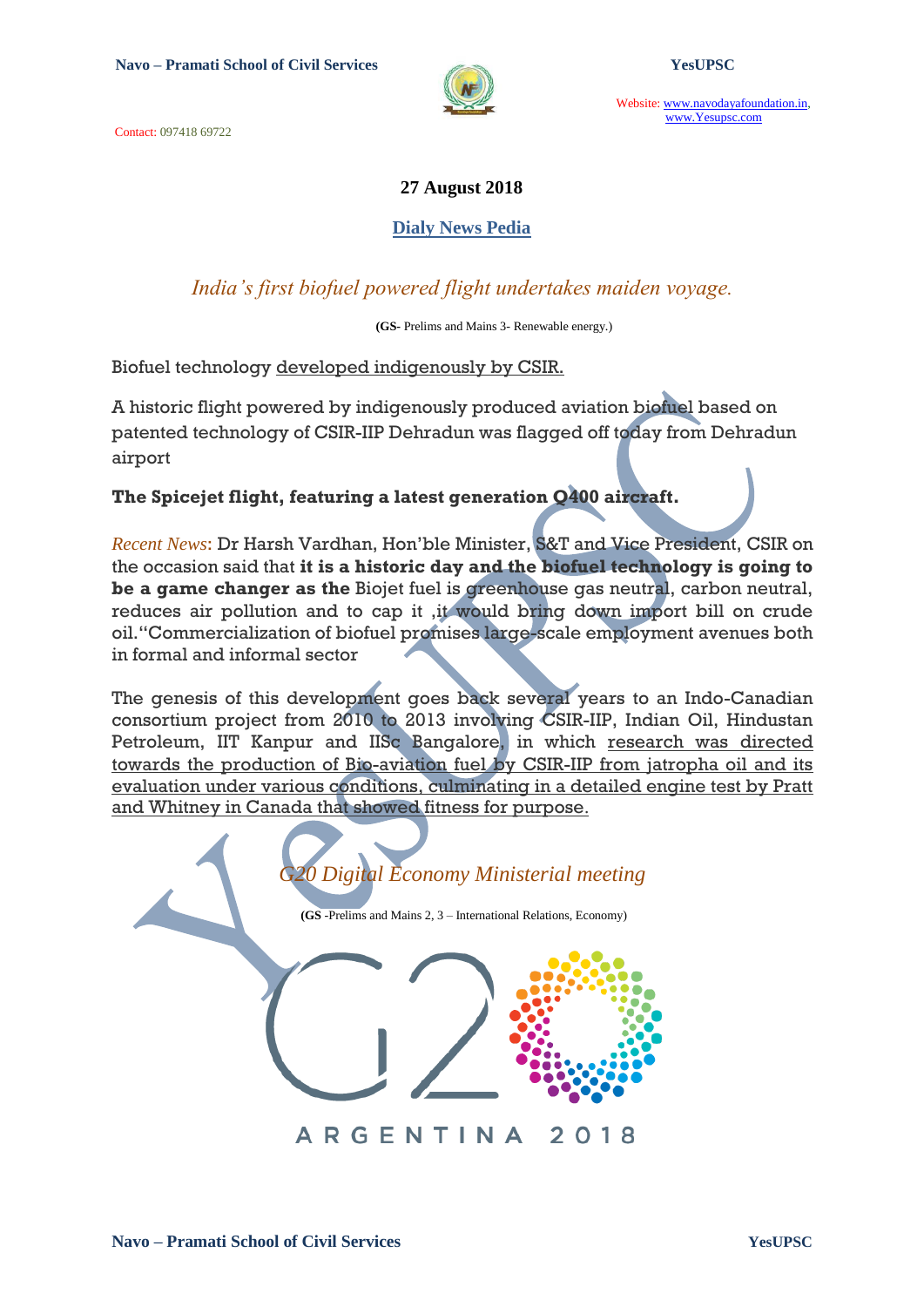Contact: 097418 69722



Website: www.navodayafoundation.in, www.Yesupsc.com

### **27 August 2018**

#### **Dialy News Pedia**

# *India's first biofuel powered flight undertakes maiden voyage.*

 **(GS-** Prelims and Mains 3- Renewable energy.)

Biofuel technology developed indigenously by CSIR.

A historic flight powered by indigenously produced aviation biofuel based on patented technology of CSIR-IIP Dehradun was flagged off today from Dehradun airport

## **The Spicejet flight, featuring a latest generation Q400 aircraft.**

*Recent News*: Dr Harsh Vardhan, Hon"ble Minister, S&T and Vice President, CSIR on the occasion said that **it is a historic day and the biofuel technology is going to be a game changer as the** Biojet fuel is greenhouse gas neutral, carbon neutral, reduces air pollution and to cap it ,it would bring down import bill on crude oil."Commercialization of biofuel promises large-scale employment avenues both in formal and informal sector

The genesis of this development goes back several years to an Indo-Canadian consortium project from 2010 to 2013 involving CSIR-IIP, Indian Oil, Hindustan Petroleum, IIT Kanpur and IISc Bangalore, in which research was directed towards the production of Bio-aviation fuel by CSIR-IIP from jatropha oil and its evaluation under various conditions, culminating in a detailed engine test by Pratt and Whitney in Canada that showed fitness for purpose.

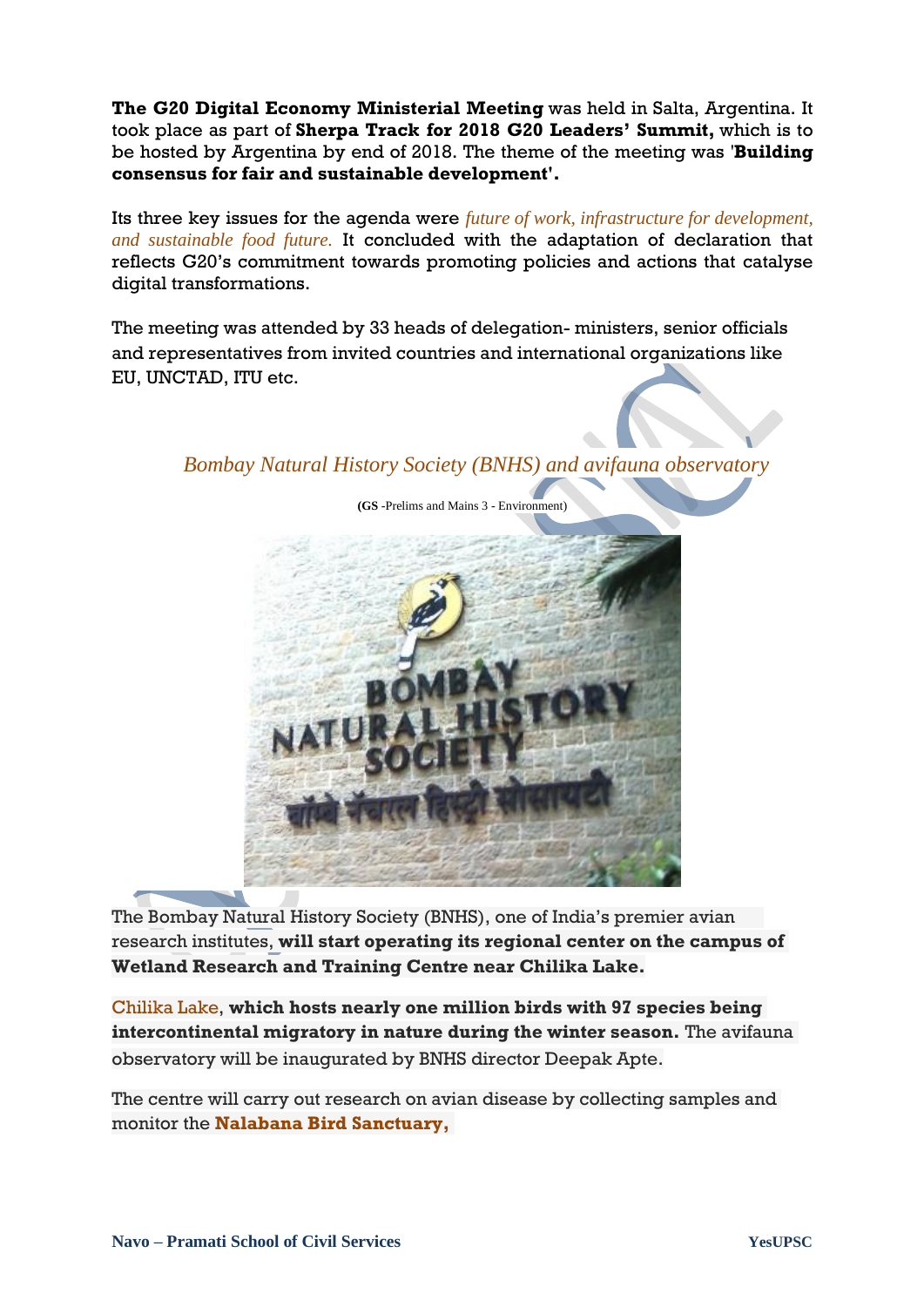**The G20 Digital Economy Ministerial Meeting** was held in Salta, Argentina. It took place as part of **Sherpa Track for 2018 G20 Leaders' Summit,** which is to be hosted by Argentina by end of 2018. The theme of the meeting was '**Building consensus for fair and sustainable development'.**

Its three key issues for the agenda were *future of work, infrastructure for development, and sustainable food future.* It concluded with the adaptation of declaration that reflects G20"s commitment towards promoting policies and actions that catalyse digital transformations.

The meeting was attended by 33 heads of delegation- ministers, senior officials and representatives from invited countries and international organizations like EU, UNCTAD, ITU etc.

*Bombay Natural History Society (BNHS) and avifauna observatory*



The Bombay Natural History Society (BNHS), one of India"s premier avian research institutes, **will start operating its regional center on the campus of Wetland Research and Training Centre near Chilika Lake.**

Chilika Lake, **which hosts nearly one million birds with 97 species being intercontinental migratory in nature during the winter season.** The avifauna observatory will be inaugurated by BNHS director Deepak Apte.

The centre will carry out research on avian disease by collecting samples and monitor the **Nalabana Bird Sanctuary,**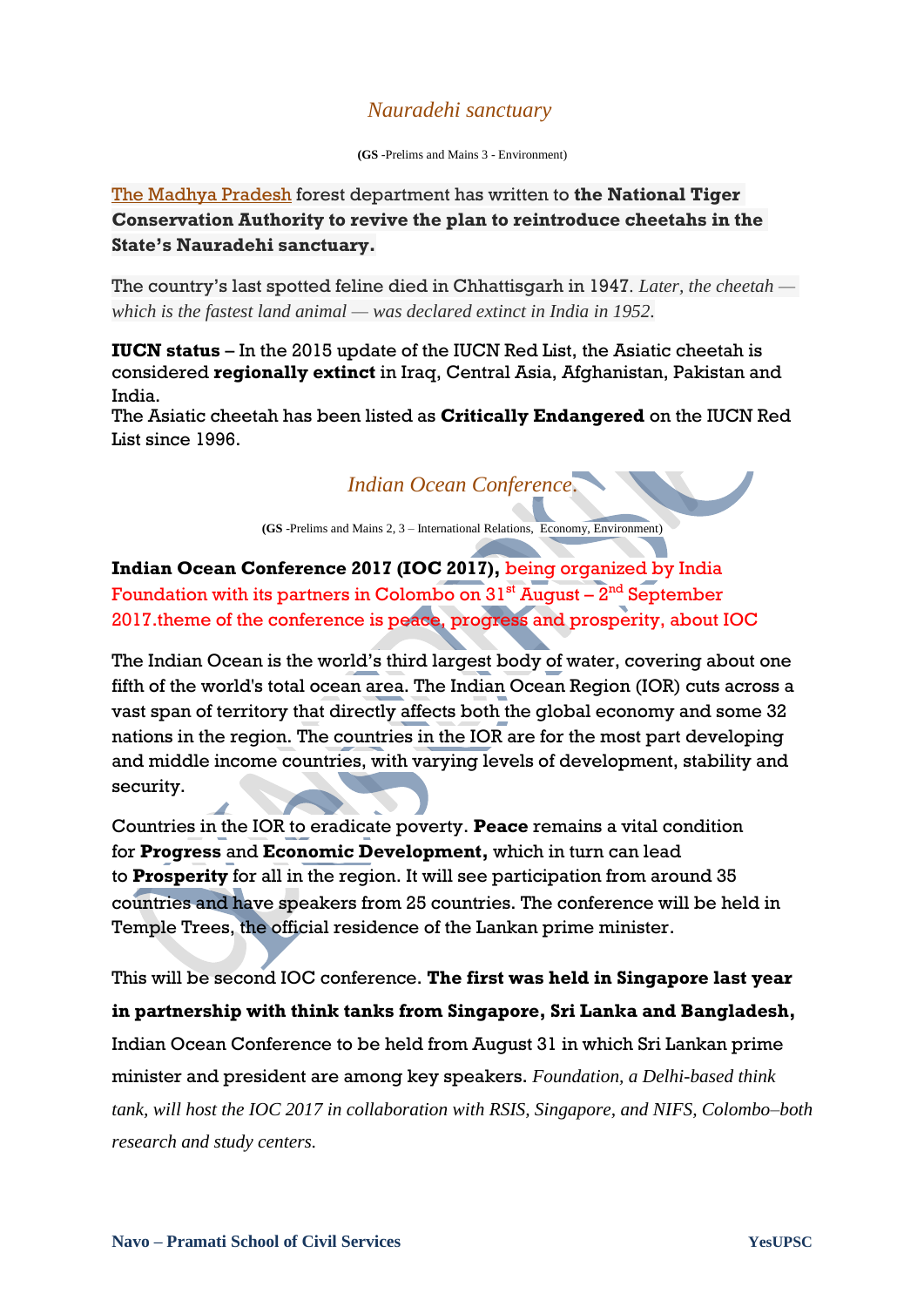## *Nauradehi sanctuary*

**(GS** -Prelims and Mains 3 - Environment)

The [Madhya Pradesh](https://www.thehindu.com/tag/161-81/madhya-pradesh/?utm=bodytag) forest department has written to **the National Tiger Conservation Authority to revive the plan to reintroduce cheetahs in the State's Nauradehi sanctuary.**

The country"s last spotted feline died in Chhattisgarh in 1947*. Later, the cheetah which is the fastest land animal — was declared extinct in India in 1952.*

**IUCN status** – In the 2015 update of the IUCN Red List, the Asiatic cheetah is considered **regionally extinct** in Iraq, Central Asia, Afghanistan, Pakistan and India.

The Asiatic cheetah has been listed as **Critically Endangered** on the IUCN Red List since 1996.

*Indian Ocean Conference*.

**(GS** -Prelims and Mains 2, 3 – International Relations, Economy, Environment)

**Indian Ocean Conference 2017 (IOC 2017),** being organized by India Foundation with its partners in Colombo on  $31^{\text{st}}$  August –  $2^{\text{nd}}$  September 2017.theme of the conference is peace, progress and prosperity, about IOC

The Indian Ocean is the world"s third largest body of water, covering about one fifth of the world's total ocean area. The Indian Ocean Region (IOR) cuts across a vast span of territory that directly affects both the global economy and some 32 nations in the region. The countries in the IOR are for the most part developing and middle income countries, with varying levels of development, stability and security.

Countries in the IOR to eradicate poverty. **Peace** remains a vital condition for **Progress** and **Economic Development,** which in turn can lead to **Prosperity** for all in the region. It will see participation from around 35 countries and have speakers from 25 countries. The conference will be held in Temple Trees, the official residence of the Lankan prime minister.

This will be second IOC conference. **The first was held in Singapore last year in partnership with think tanks from Singapore, Sri Lanka and Bangladesh,** Indian Ocean Conference to be held from August 31 in which Sri Lankan prime minister and president are among key speakers. *Foundation, a Delhi-based think tank, will host the IOC 2017 in collaboration with RSIS, Singapore, and NIFS, Colombo–both research and study centers.*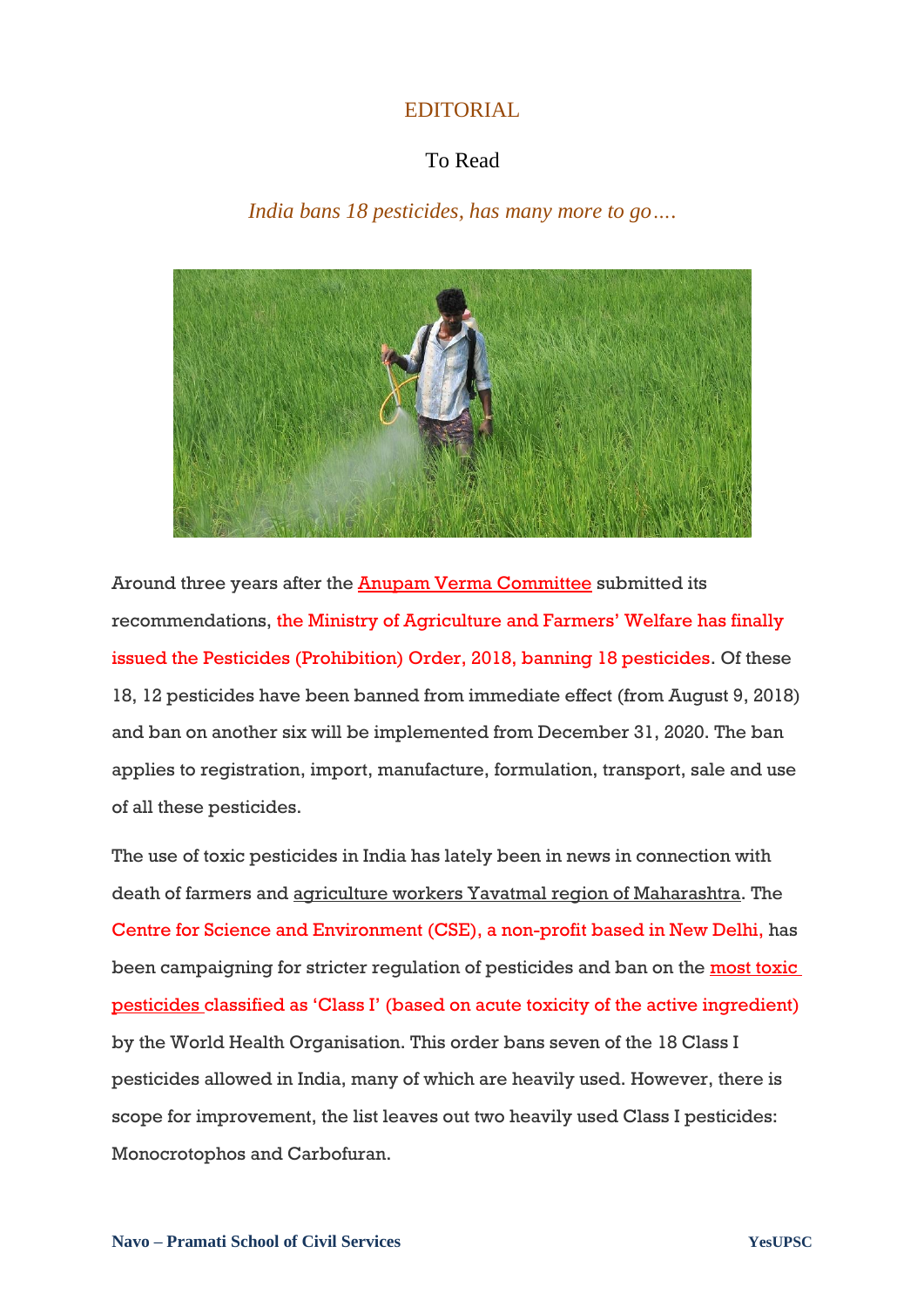## EDITORIAL

## To Read

*India bans 18 pesticides, has many more to go….*



Around three years after the **Anupam Verma Committee** submitted its recommendations, the Ministry of Agriculture and Farmers" Welfare has finally issued the Pesticides (Prohibition) Order, 2018, banning 18 pesticides. Of these 18, 12 pesticides have been banned from immediate effect (from August 9, 2018) and ban on another six will be implemented from December 31, 2020. The ban applies to registration, import, manufacture, formulation, transport, sale and use of all these pesticides.

The use of toxic pesticides in India has lately been in news in connection with death of farmers and agriculture workers Yavatmal region of Maharashtra. The Centre for Science and Environment (CSE), a non-profit based in New Delhi, has been campaigning for stricter regulation of pesticides and ban on the most toxic [pesticides](https://www.downtoearth.org.in/news/vidarbha-s-toxic-trail-59173) classified as "Class I" (based on acute toxicity of the active ingredient) by the World Health Organisation. This order bans seven of the 18 Class I pesticides allowed in India, many of which are heavily used. However, there is scope for improvement, the list leaves out two heavily used Class I pesticides: Monocrotophos and Carbofuran.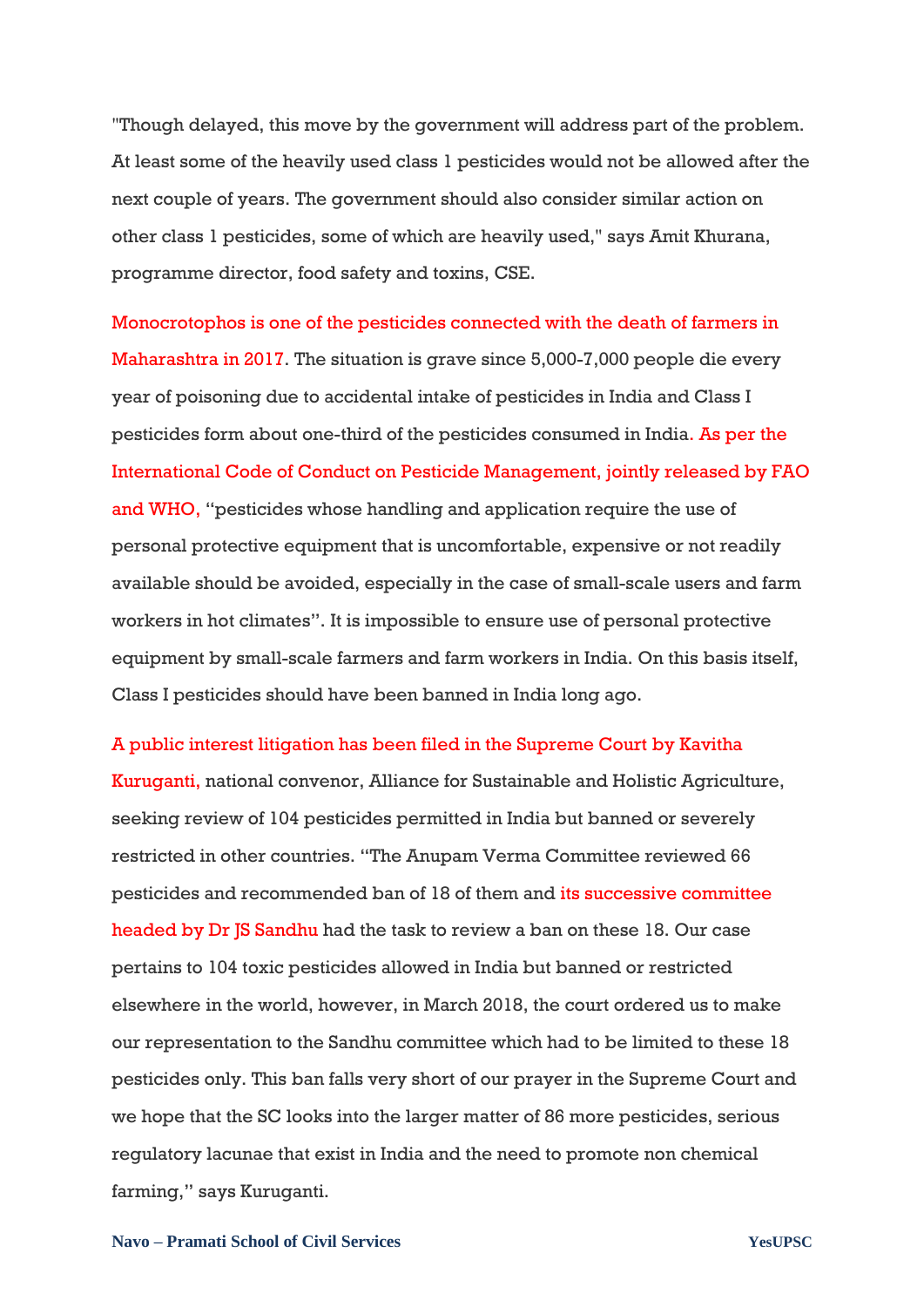"Though delayed, this move by the government will address part of the problem. At least some of the heavily used class 1 pesticides would not be allowed after the next couple of years. The government should also consider similar action on other class 1 pesticides, some of which are heavily used," says Amit Khurana, programme director, food safety and toxins, CSE.

Monocrotophos is one of the pesticides connected with the death of farmers in Maharashtra in 2017. The situation is grave since 5,000-7,000 people die every year of poisoning due to accidental intake of pesticides in India and Class I pesticides form about one-third of the pesticides consumed in India. As per the International Code of Conduct on Pesticide Management, jointly released by FAO and WHO, "pesticides whose handling and application require the use of personal protective equipment that is uncomfortable, expensive or not readily available should be avoided, especially in the case of small-scale users and farm workers in hot climates". It is impossible to ensure use of personal protective equipment by small-scale farmers and farm workers in India. On this basis itself, Class I pesticides should have been banned in India long ago.

#### A public interest litigation has been filed in the Supreme Court by Kavitha

Kuruganti, national convenor, Alliance for Sustainable and Holistic Agriculture, seeking review of 104 pesticides permitted in India but banned or severely restricted in other countries. "The Anupam Verma Committee reviewed 66 pesticides and recommended ban of 18 of them and its successive committee headed by Dr JS Sandhu had the task to review a ban on these 18. Our case pertains to 104 toxic pesticides allowed in India but banned or restricted elsewhere in the world, however, in March 2018, the court ordered us to make our representation to the Sandhu committee which had to be limited to these 18 pesticides only. This ban falls very short of our prayer in the Supreme Court and we hope that the SC looks into the larger matter of 86 more pesticides, serious regulatory lacunae that exist in India and the need to promote non chemical farming," says Kuruganti.